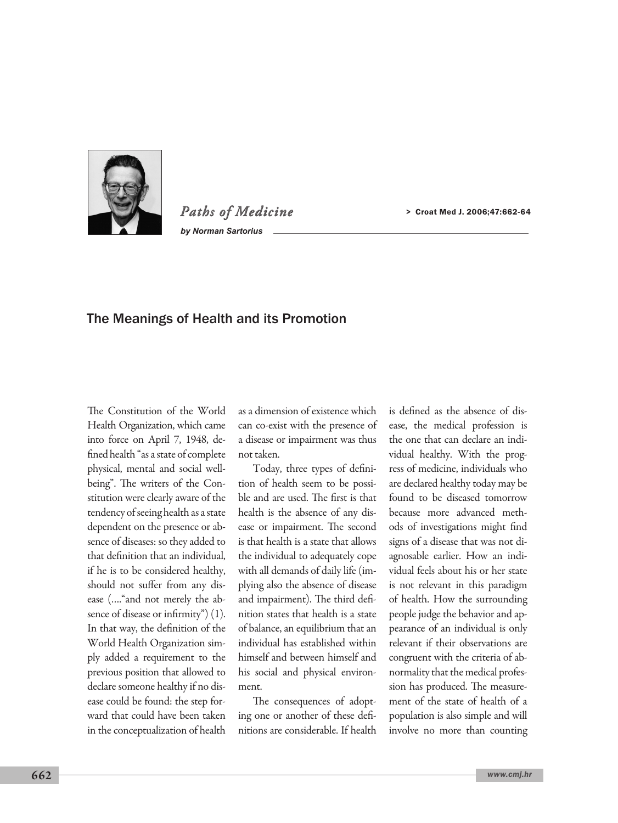

*Paths of Medicine by Norman Sartorius*

> Croat Med J. 2006;47:662-64

## The Meanings of Health and its Promotion

The Constitution of the World Health Organization, which came into force on April 7, 1948, defined health "as a state of complete physical, mental and social wellbeing". The writers of the Constitution were clearly aware of the tendency of seeing health as a state dependent on the presence or absence of diseases: so they added to that definition that an individual, if he is to be considered healthy, should not suffer from any disease (…."and not merely the absence of disease or infirmity") (1). In that way, the definition of the World Health Organization simply added a requirement to the previous position that allowed to declare someone healthy if no disease could be found: the step forward that could have been taken in the conceptualization of health as a dimension of existence which can co-exist with the presence of a disease or impairment was thus not taken.

Today, three types of definition of health seem to be possible and are used. The first is that health is the absence of any disease or impairment. The second is that health is a state that allows the individual to adequately cope with all demands of daily life (implying also the absence of disease and impairment). The third definition states that health is a state of balance, an equilibrium that an individual has established within himself and between himself and his social and physical environment.

The consequences of adopting one or another of these definitions are considerable. If health is defined as the absence of disease, the medical profession is the one that can declare an individual healthy. With the progress of medicine, individuals who are declared healthy today may be found to be diseased tomorrow because more advanced methods of investigations might find signs of a disease that was not diagnosable earlier. How an individual feels about his or her state is not relevant in this paradigm of health. How the surrounding people judge the behavior and appearance of an individual is only relevant if their observations are congruent with the criteria of abnormality that the medical profession has produced. The measurement of the state of health of a population is also simple and will involve no more than counting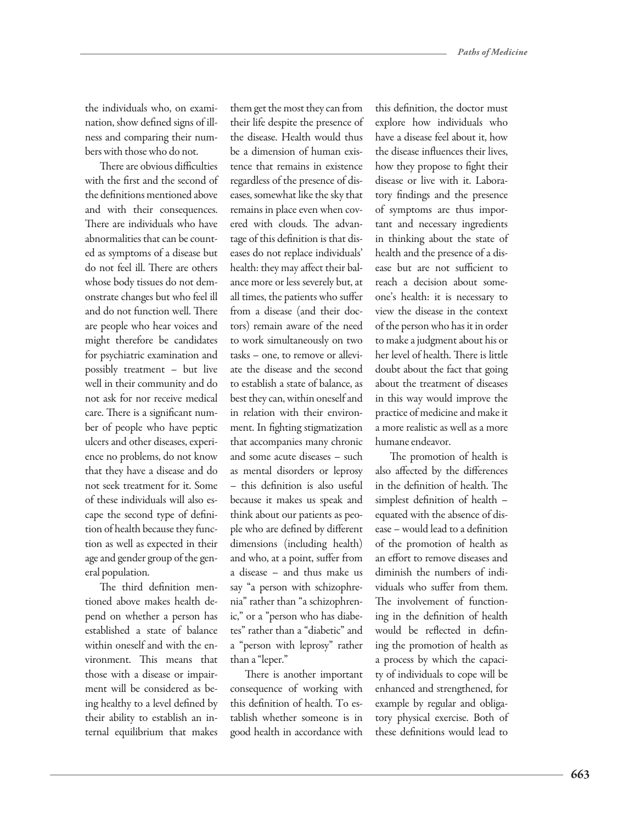the individuals who, on examination, show defined signs of illness and comparing their numbers with those who do not.

There are obvious difficulties with the first and the second of the definitions mentioned above and with their consequences. There are individuals who have abnormalities that can be counted as symptoms of a disease but do not feel ill. There are others whose body tissues do not demonstrate changes but who feel ill and do not function well. There are people who hear voices and might therefore be candidates for psychiatric examination and possibly treatment – but live well in their community and do not ask for nor receive medical care. There is a significant number of people who have peptic ulcers and other diseases, experience no problems, do not know that they have a disease and do not seek treatment for it. Some of these individuals will also escape the second type of definition of health because they function as well as expected in their age and gender group of the general population.

The third definition mentioned above makes health depend on whether a person has established a state of balance within oneself and with the environment. This means that those with a disease or impairment will be considered as being healthy to a level defined by their ability to establish an internal equilibrium that makes

them get the most they can from their life despite the presence of the disease. Health would thus be a dimension of human existence that remains in existence regardless of the presence of diseases, somewhat like the sky that remains in place even when covered with clouds. The advantage of this definition is that diseases do not replace individuals' health: they may affect their balance more or less severely but, at all times, the patients who suffer from a disease (and their doctors) remain aware of the need to work simultaneously on two tasks – one, to remove or alleviate the disease and the second to establish a state of balance, as best they can, within oneself and in relation with their environment. In fighting stigmatization that accompanies many chronic and some acute diseases – such as mental disorders or leprosy – this definition is also useful because it makes us speak and think about our patients as people who are defined by different dimensions (including health) and who, at a point, suffer from a disease – and thus make us say "a person with schizophrenia" rather than "a schizophrenic," or a "person who has diabetes" rather than a "diabetic" and a "person with leprosy" rather than a "leper."

There is another important consequence of working with this definition of health. To establish whether someone is in good health in accordance with

this definition, the doctor must explore how individuals who have a disease feel about it, how the disease influences their lives, how they propose to fight their disease or live with it. Laboratory findings and the presence of symptoms are thus important and necessary ingredients in thinking about the state of health and the presence of a disease but are not sufficient to reach a decision about someone's health: it is necessary to view the disease in the context of the person who has it in order to make a judgment about his or her level of health. There is little doubt about the fact that going about the treatment of diseases in this way would improve the practice of medicine and make it a more realistic as well as a more humane endeavor.

The promotion of health is also affected by the differences in the definition of health. The simplest definition of health – equated with the absence of disease – would lead to a definition of the promotion of health as an effort to remove diseases and diminish the numbers of individuals who suffer from them. The involvement of functioning in the definition of health would be reflected in defining the promotion of health as a process by which the capacity of individuals to cope will be enhanced and strengthened, for example by regular and obligatory physical exercise. Both of these definitions would lead to